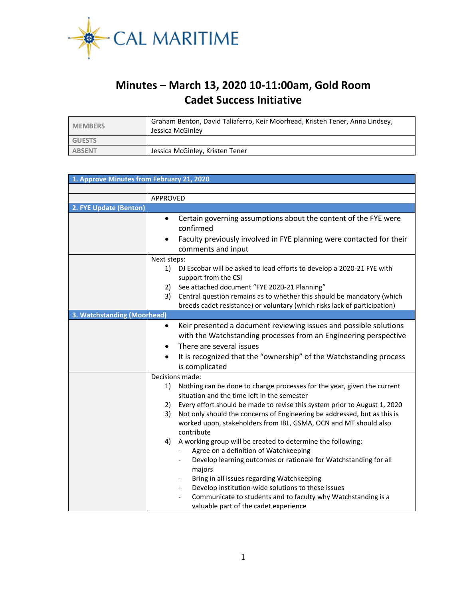

## **Minutes – March 13, 2020 10-11:00am, Gold Room Cadet Success Initiative**

| <b>MEMBERS</b> | Graham Benton, David Taliaferro, Keir Moorhead, Kristen Tener, Anna Lindsey,<br>Jessica McGinley |
|----------------|--------------------------------------------------------------------------------------------------|
| <b>GUESTS</b>  |                                                                                                  |
| <b>ABSENT</b>  | Jessica McGinley, Kristen Tener                                                                  |

| 1. Approve Minutes from February 21, 2020 |                                                                                                                                                                                                            |  |  |  |
|-------------------------------------------|------------------------------------------------------------------------------------------------------------------------------------------------------------------------------------------------------------|--|--|--|
|                                           |                                                                                                                                                                                                            |  |  |  |
|                                           | APPROVED                                                                                                                                                                                                   |  |  |  |
| 2. FYE Update (Benton)                    |                                                                                                                                                                                                            |  |  |  |
|                                           | Certain governing assumptions about the content of the FYE were<br>$\bullet$<br>confirmed                                                                                                                  |  |  |  |
|                                           | Faculty previously involved in FYE planning were contacted for their<br>$\bullet$<br>comments and input                                                                                                    |  |  |  |
|                                           | Next steps:                                                                                                                                                                                                |  |  |  |
|                                           | 1)<br>DJ Escobar will be asked to lead efforts to develop a 2020-21 FYE with<br>support from the CSI                                                                                                       |  |  |  |
|                                           | See attached document "FYE 2020-21 Planning"<br>2)                                                                                                                                                         |  |  |  |
|                                           | Central question remains as to whether this should be mandatory (which<br>3)<br>breeds cadet resistance) or voluntary (which risks lack of participation)                                                  |  |  |  |
| 3. Watchstanding (Moorhead)               |                                                                                                                                                                                                            |  |  |  |
|                                           | Keir presented a document reviewing issues and possible solutions<br>$\bullet$<br>with the Watchstanding processes from an Engineering perspective                                                         |  |  |  |
|                                           | There are several issues<br>$\bullet$                                                                                                                                                                      |  |  |  |
|                                           |                                                                                                                                                                                                            |  |  |  |
|                                           | It is recognized that the "ownership" of the Watchstanding process<br>$\bullet$<br>is complicated                                                                                                          |  |  |  |
| Decisions made:                           |                                                                                                                                                                                                            |  |  |  |
|                                           | Nothing can be done to change processes for the year, given the current<br>1)<br>situation and the time left in the semester                                                                               |  |  |  |
|                                           | Every effort should be made to revise this system prior to August 1, 2020<br>2)                                                                                                                            |  |  |  |
|                                           | Not only should the concerns of Engineering be addressed, but as this is<br>3)<br>worked upon, stakeholders from IBL, GSMA, OCN and MT should also<br>contribute                                           |  |  |  |
|                                           | A working group will be created to determine the following:<br>4)<br>Agree on a definition of Watchkeeping<br>Develop learning outcomes or rationale for Watchstanding for all<br>majors                   |  |  |  |
|                                           | Bring in all issues regarding Watchkeeping<br>Develop institution-wide solutions to these issues<br>Communicate to students and to faculty why Watchstanding is a<br>valuable part of the cadet experience |  |  |  |